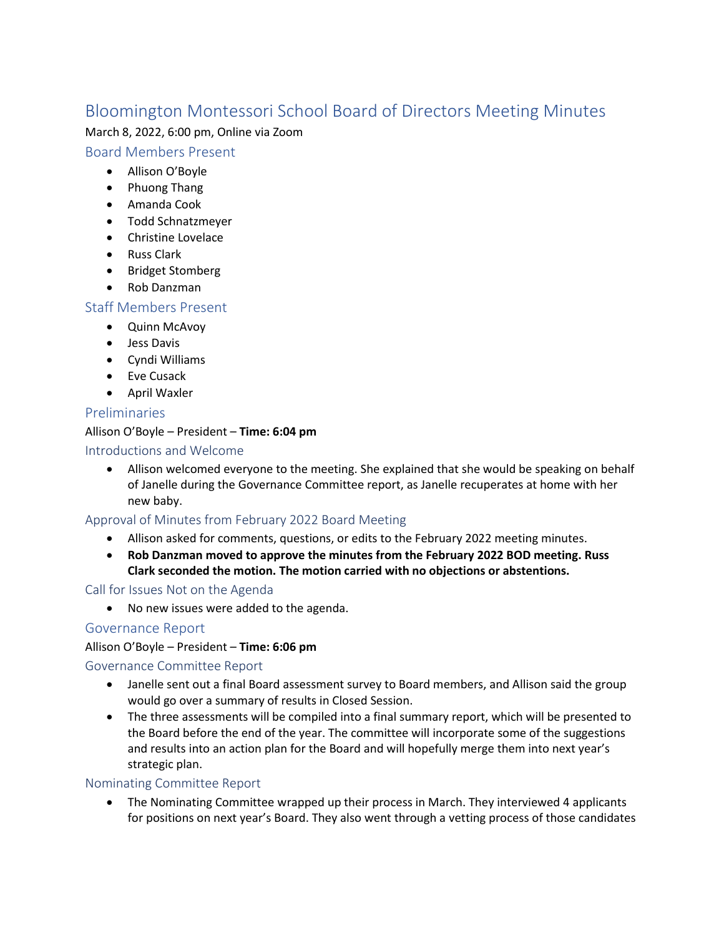# Bloomington Montessori School Board of Directors Meeting Minutes

### March 8, 2022, 6:00 pm, Online via Zoom

### Board Members Present

- Allison O'Boyle
- Phuong Thang
- Amanda Cook
- Todd Schnatzmeyer
- Christine Lovelace
- Russ Clark
- Bridget Stomberg
- Rob Danzman

# Staff Members Present

- Quinn McAvoy
- Jess Davis
- Cyndi Williams
- Eve Cusack
- April Waxler

# Preliminaries

### Allison O'Boyle – President – **Time: 6:04 pm**

### Introductions and Welcome

• Allison welcomed everyone to the meeting. She explained that she would be speaking on behalf of Janelle during the Governance Committee report, as Janelle recuperates at home with her new baby.

# Approval of Minutes from February 2022 Board Meeting

- Allison asked for comments, questions, or edits to the February 2022 meeting minutes.
- **Rob Danzman moved to approve the minutes from the February 2022 BOD meeting. Russ Clark seconded the motion. The motion carried with no objections or abstentions.**

#### Call for Issues Not on the Agenda

• No new issues were added to the agenda.

# Governance Report

# Allison O'Boyle – President – **Time: 6:06 pm**

# Governance Committee Report

- Janelle sent out a final Board assessment survey to Board members, and Allison said the group would go over a summary of results in Closed Session.
- The three assessments will be compiled into a final summary report, which will be presented to the Board before the end of the year. The committee will incorporate some of the suggestions and results into an action plan for the Board and will hopefully merge them into next year's strategic plan.

# Nominating Committee Report

• The Nominating Committee wrapped up their process in March. They interviewed 4 applicants for positions on next year's Board. They also went through a vetting process of those candidates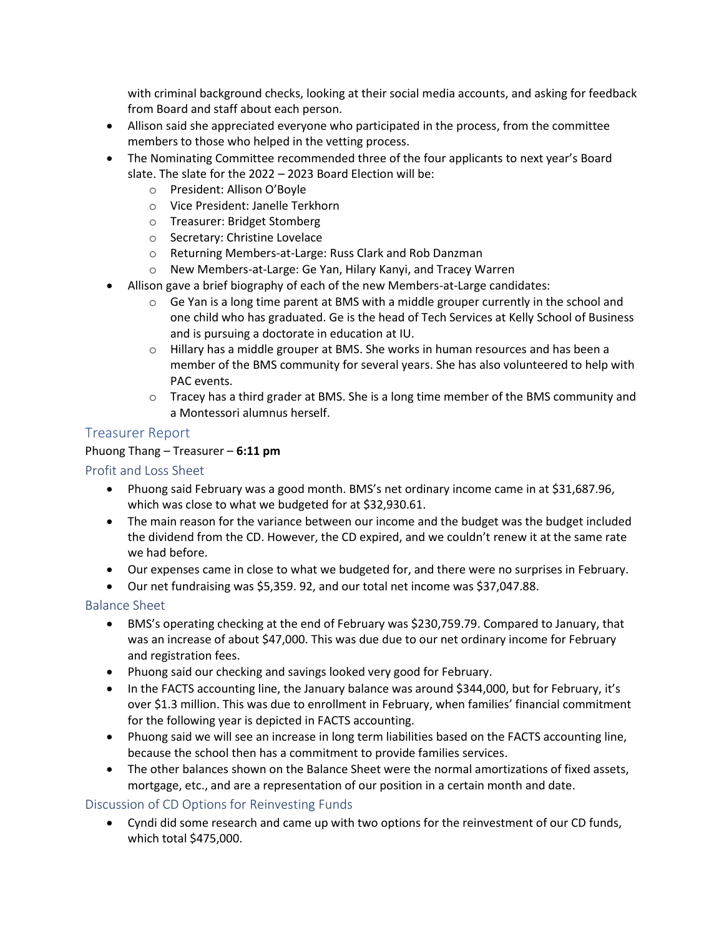with criminal background checks, looking at their social media accounts, and asking for feedback from Board and staff about each person.

- Allison said she appreciated everyone who participated in the process, from the committee members to those who helped in the vetting process.
- The Nominating Committee recommended three of the four applicants to next year's Board slate. The slate for the 2022 – 2023 Board Election will be:
	- o President: Allison O'Boyle
	- o Vice President: Janelle Terkhorn
	- o Treasurer: Bridget Stomberg
	- o Secretary: Christine Lovelace
	- o Returning Members-at-Large: Russ Clark and Rob Danzman
	- o New Members-at-Large: Ge Yan, Hilary Kanyi, and Tracey Warren
- Allison gave a brief biography of each of the new Members-at-Large candidates:
	- $\circ$  Ge Yan is a long time parent at BMS with a middle grouper currently in the school and one child who has graduated. Ge is the head of Tech Services at Kelly School of Business and is pursuing a doctorate in education at IU.
	- $\circ$  Hillary has a middle grouper at BMS. She works in human resources and has been a member of the BMS community for several years. She has also volunteered to help with PAC events.
	- $\circ$  Tracey has a third grader at BMS. She is a long time member of the BMS community and a Montessori alumnus herself.

# Treasurer Report

#### Phuong Thang – Treasurer – **6:11 pm**

### Profit and Loss Sheet

- Phuong said February was a good month. BMS's net ordinary income came in at \$31,687.96, which was close to what we budgeted for at \$32,930.61.
- The main reason for the variance between our income and the budget was the budget included the dividend from the CD. However, the CD expired, and we couldn't renew it at the same rate we had before.
- Our expenses came in close to what we budgeted for, and there were no surprises in February.
- Our net fundraising was \$5,359. 92, and our total net income was \$37,047.88.

#### Balance Sheet

- BMS's operating checking at the end of February was \$230,759.79. Compared to January, that was an increase of about \$47,000. This was due due to our net ordinary income for February and registration fees.
- Phuong said our checking and savings looked very good for February.
- In the FACTS accounting line, the January balance was around \$344,000, but for February, it's over \$1.3 million. This was due to enrollment in February, when families' financial commitment for the following year is depicted in FACTS accounting.
- Phuong said we will see an increase in long term liabilities based on the FACTS accounting line, because the school then has a commitment to provide families services.
- The other balances shown on the Balance Sheet were the normal amortizations of fixed assets, mortgage, etc., and are a representation of our position in a certain month and date.

# Discussion of CD Options for Reinvesting Funds

• Cyndi did some research and came up with two options for the reinvestment of our CD funds, which total \$475,000.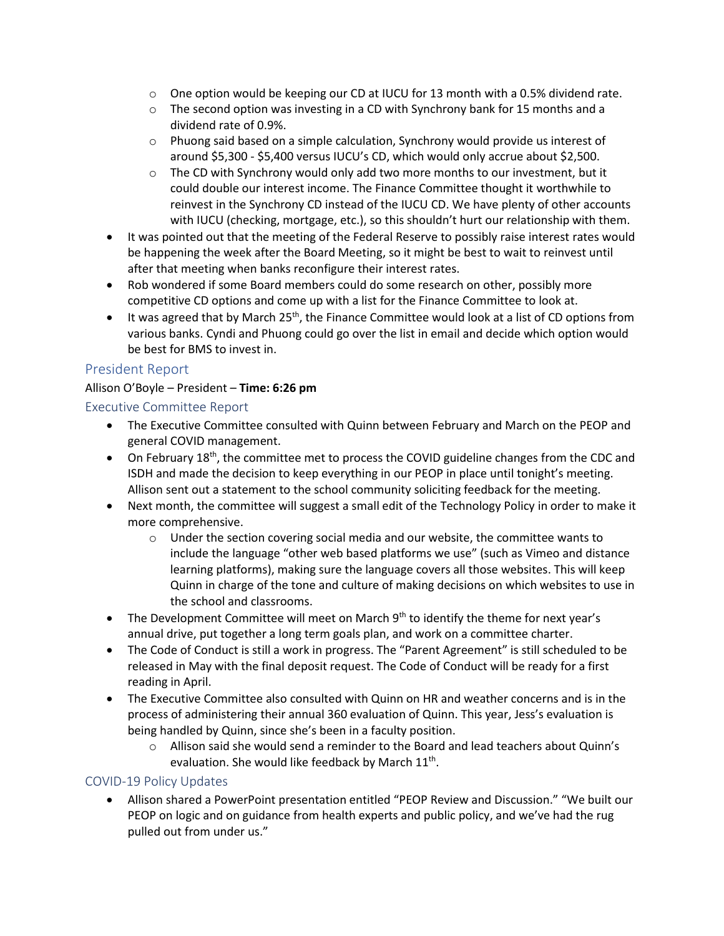- $\circ$  One option would be keeping our CD at IUCU for 13 month with a 0.5% dividend rate.
- $\circ$  The second option was investing in a CD with Synchrony bank for 15 months and a dividend rate of 0.9%.
- $\circ$  Phuong said based on a simple calculation, Synchrony would provide us interest of around \$5,300 - \$5,400 versus IUCU's CD, which would only accrue about \$2,500.
- $\circ$  The CD with Synchrony would only add two more months to our investment, but it could double our interest income. The Finance Committee thought it worthwhile to reinvest in the Synchrony CD instead of the IUCU CD. We have plenty of other accounts with IUCU (checking, mortgage, etc.), so this shouldn't hurt our relationship with them.
- It was pointed out that the meeting of the Federal Reserve to possibly raise interest rates would be happening the week after the Board Meeting, so it might be best to wait to reinvest until after that meeting when banks reconfigure their interest rates.
- Rob wondered if some Board members could do some research on other, possibly more competitive CD options and come up with a list for the Finance Committee to look at.
- $\bullet$  It was agreed that by March 25<sup>th</sup>, the Finance Committee would look at a list of CD options from various banks. Cyndi and Phuong could go over the list in email and decide which option would be best for BMS to invest in.

# President Report

### Allison O'Boyle – President – **Time: 6:26 pm**

Executive Committee Report

- The Executive Committee consulted with Quinn between February and March on the PEOP and general COVID management.
- On February 18<sup>th</sup>, the committee met to process the COVID guideline changes from the CDC and ISDH and made the decision to keep everything in our PEOP in place until tonight's meeting. Allison sent out a statement to the school community soliciting feedback for the meeting.
- Next month, the committee will suggest a small edit of the Technology Policy in order to make it more comprehensive.
	- $\circ$  Under the section covering social media and our website, the committee wants to include the language "other web based platforms we use" (such as Vimeo and distance learning platforms), making sure the language covers all those websites. This will keep Quinn in charge of the tone and culture of making decisions on which websites to use in the school and classrooms.
- The Development Committee will meet on March  $9<sup>th</sup>$  to identify the theme for next year's annual drive, put together a long term goals plan, and work on a committee charter.
- The Code of Conduct is still a work in progress. The "Parent Agreement" is still scheduled to be released in May with the final deposit request. The Code of Conduct will be ready for a first reading in April.
- The Executive Committee also consulted with Quinn on HR and weather concerns and is in the process of administering their annual 360 evaluation of Quinn. This year, Jess's evaluation is being handled by Quinn, since she's been in a faculty position.
	- o Allison said she would send a reminder to the Board and lead teachers about Quinn's evaluation. She would like feedback by March 11<sup>th</sup>.

#### COVID-19 Policy Updates

• Allison shared a PowerPoint presentation entitled "PEOP Review and Discussion." "We built our PEOP on logic and on guidance from health experts and public policy, and we've had the rug pulled out from under us."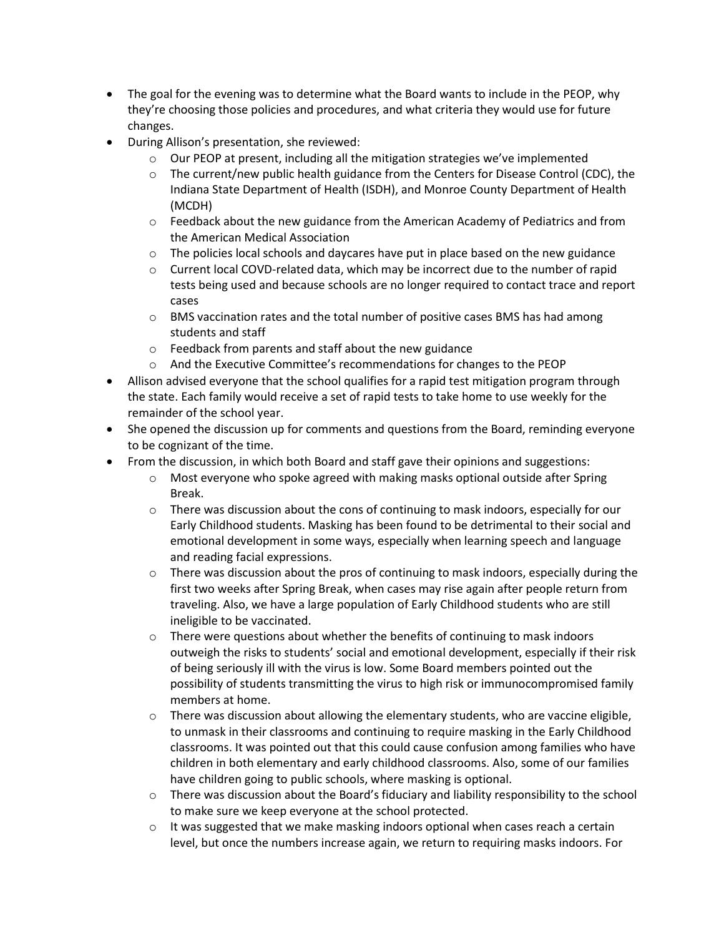- The goal for the evening was to determine what the Board wants to include in the PEOP, why they're choosing those policies and procedures, and what criteria they would use for future changes.
- During Allison's presentation, she reviewed:
	- $\circ$  Our PEOP at present, including all the mitigation strategies we've implemented
	- $\circ$  The current/new public health guidance from the Centers for Disease Control (CDC), the Indiana State Department of Health (ISDH), and Monroe County Department of Health (MCDH)
	- $\circ$  Feedback about the new guidance from the American Academy of Pediatrics and from the American Medical Association
	- $\circ$  The policies local schools and daycares have put in place based on the new guidance
	- $\circ$  Current local COVD-related data, which may be incorrect due to the number of rapid tests being used and because schools are no longer required to contact trace and report cases
	- $\circ$  BMS vaccination rates and the total number of positive cases BMS has had among students and staff
	- o Feedback from parents and staff about the new guidance
	- o And the Executive Committee's recommendations for changes to the PEOP
- Allison advised everyone that the school qualifies for a rapid test mitigation program through the state. Each family would receive a set of rapid tests to take home to use weekly for the remainder of the school year.
- She opened the discussion up for comments and questions from the Board, reminding everyone to be cognizant of the time.
- From the discussion, in which both Board and staff gave their opinions and suggestions:
	- o Most everyone who spoke agreed with making masks optional outside after Spring Break.
	- $\circ$  There was discussion about the cons of continuing to mask indoors, especially for our Early Childhood students. Masking has been found to be detrimental to their social and emotional development in some ways, especially when learning speech and language and reading facial expressions.
	- $\circ$  There was discussion about the pros of continuing to mask indoors, especially during the first two weeks after Spring Break, when cases may rise again after people return from traveling. Also, we have a large population of Early Childhood students who are still ineligible to be vaccinated.
	- $\circ$  There were questions about whether the benefits of continuing to mask indoors outweigh the risks to students' social and emotional development, especially if their risk of being seriously ill with the virus is low. Some Board members pointed out the possibility of students transmitting the virus to high risk or immunocompromised family members at home.
	- $\circ$  There was discussion about allowing the elementary students, who are vaccine eligible, to unmask in their classrooms and continuing to require masking in the Early Childhood classrooms. It was pointed out that this could cause confusion among families who have children in both elementary and early childhood classrooms. Also, some of our families have children going to public schools, where masking is optional.
	- $\circ$  There was discussion about the Board's fiduciary and liability responsibility to the school to make sure we keep everyone at the school protected.
	- $\circ$  It was suggested that we make masking indoors optional when cases reach a certain level, but once the numbers increase again, we return to requiring masks indoors. For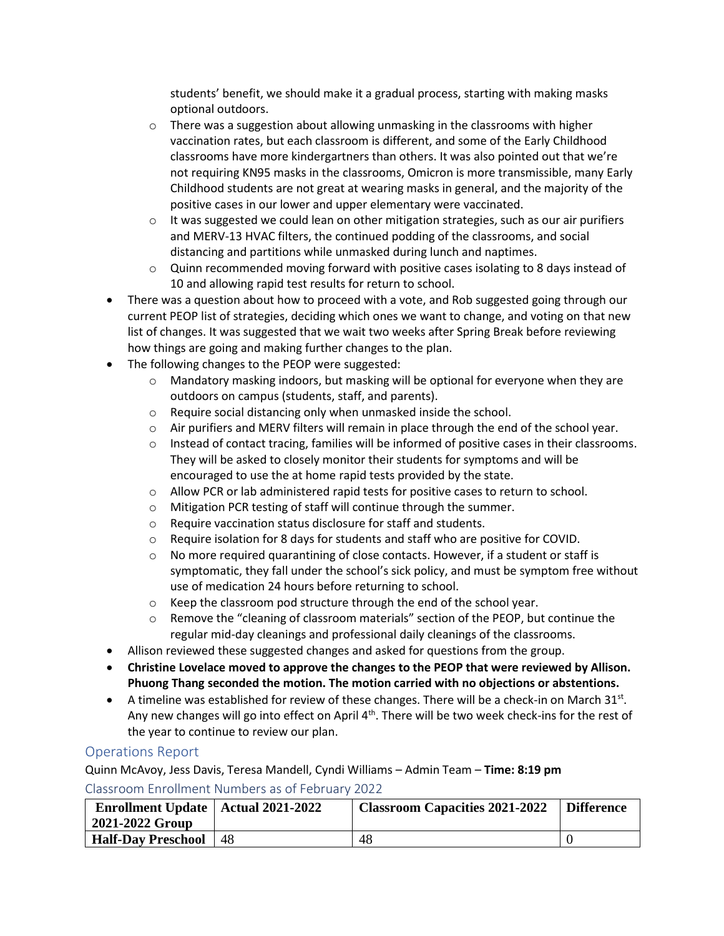students' benefit, we should make it a gradual process, starting with making masks optional outdoors.

- $\circ$  There was a suggestion about allowing unmasking in the classrooms with higher vaccination rates, but each classroom is different, and some of the Early Childhood classrooms have more kindergartners than others. It was also pointed out that we're not requiring KN95 masks in the classrooms, Omicron is more transmissible, many Early Childhood students are not great at wearing masks in general, and the majority of the positive cases in our lower and upper elementary were vaccinated.
- $\circ$  It was suggested we could lean on other mitigation strategies, such as our air purifiers and MERV-13 HVAC filters, the continued podding of the classrooms, and social distancing and partitions while unmasked during lunch and naptimes.
- $\circ$  Quinn recommended moving forward with positive cases isolating to 8 days instead of 10 and allowing rapid test results for return to school.
- There was a question about how to proceed with a vote, and Rob suggested going through our current PEOP list of strategies, deciding which ones we want to change, and voting on that new list of changes. It was suggested that we wait two weeks after Spring Break before reviewing how things are going and making further changes to the plan.
- The following changes to the PEOP were suggested:
	- $\circ$  Mandatory masking indoors, but masking will be optional for everyone when they are outdoors on campus (students, staff, and parents).
	- o Require social distancing only when unmasked inside the school.
	- o Air purifiers and MERV filters will remain in place through the end of the school year.
	- $\circ$  Instead of contact tracing, families will be informed of positive cases in their classrooms. They will be asked to closely monitor their students for symptoms and will be encouraged to use the at home rapid tests provided by the state.
	- o Allow PCR or lab administered rapid tests for positive cases to return to school.
	- o Mitigation PCR testing of staff will continue through the summer.
	- o Require vaccination status disclosure for staff and students.
	- $\circ$  Require isolation for 8 days for students and staff who are positive for COVID.
	- $\circ$  No more required quarantining of close contacts. However, if a student or staff is symptomatic, they fall under the school's sick policy, and must be symptom free without use of medication 24 hours before returning to school.
	- o Keep the classroom pod structure through the end of the school year.
	- o Remove the "cleaning of classroom materials" section of the PEOP, but continue the regular mid-day cleanings and professional daily cleanings of the classrooms.
- Allison reviewed these suggested changes and asked for questions from the group.
- **Christine Lovelace moved to approve the changes to the PEOP that were reviewed by Allison. Phuong Thang seconded the motion. The motion carried with no objections or abstentions.**
- $\bullet$  A timeline was established for review of these changes. There will be a check-in on March 31st. Any new changes will go into effect on April 4<sup>th</sup>. There will be two week check-ins for the rest of the year to continue to review our plan.

# Operations Report

Quinn McAvoy, Jess Davis, Teresa Mandell, Cyndi Williams – Admin Team – **Time: 8:19 pm**

#### Classroom Enrollment Numbers as of February 2022

| <b>Enrollment Update   Actual 2021-2022</b><br>2021-2022 Group |     | <b>Classroom Capacities 2021-2022</b> | <b>Difference</b> |
|----------------------------------------------------------------|-----|---------------------------------------|-------------------|
| <b>Half-Day Preschool</b>                                      | -48 | 48                                    |                   |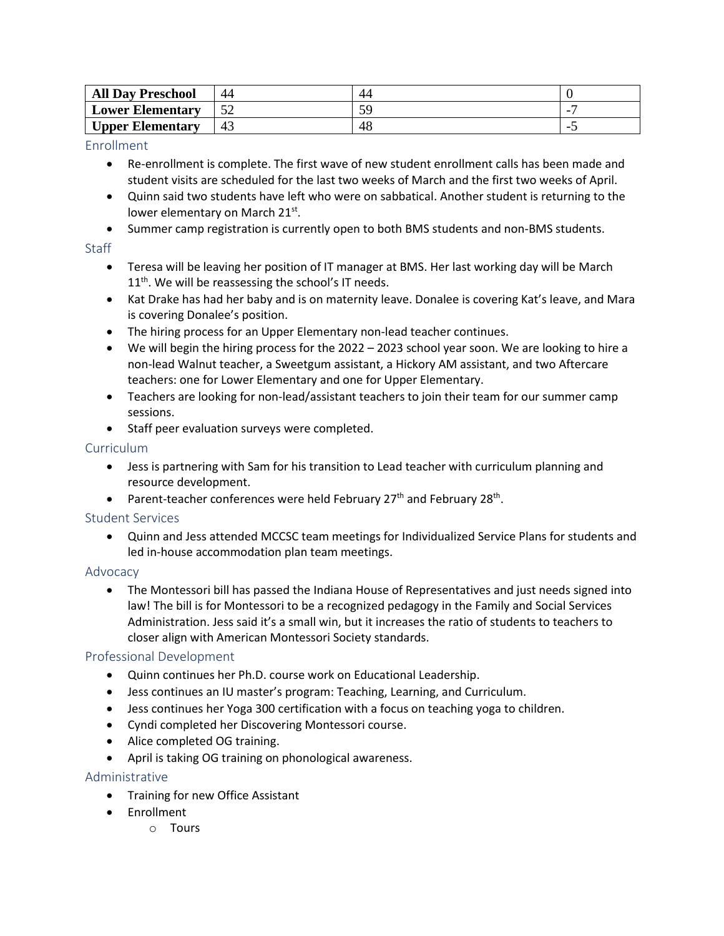| <b>All Day Preschool</b> | 44 | 44 |  |
|--------------------------|----|----|--|
| <b>Lower Elementary</b>  |    |    |  |
| <b>Upper Elementary</b>  |    | 48 |  |

#### Enrollment

- Re-enrollment is complete. The first wave of new student enrollment calls has been made and student visits are scheduled for the last two weeks of March and the first two weeks of April.
- Quinn said two students have left who were on sabbatical. Another student is returning to the lower elementary on March 21st.
- Summer camp registration is currently open to both BMS students and non-BMS students.

### **Staff**

- Teresa will be leaving her position of IT manager at BMS. Her last working day will be March 11<sup>th</sup>. We will be reassessing the school's IT needs.
- Kat Drake has had her baby and is on maternity leave. Donalee is covering Kat's leave, and Mara is covering Donalee's position.
- The hiring process for an Upper Elementary non-lead teacher continues.
- We will begin the hiring process for the 2022 2023 school year soon. We are looking to hire a non-lead Walnut teacher, a Sweetgum assistant, a Hickory AM assistant, and two Aftercare teachers: one for Lower Elementary and one for Upper Elementary.
- Teachers are looking for non-lead/assistant teachers to join their team for our summer camp sessions.
- Staff peer evaluation surveys were completed.

#### Curriculum

- Jess is partnering with Sam for his transition to Lead teacher with curriculum planning and resource development.
- Parent-teacher conferences were held February 27<sup>th</sup> and February 28<sup>th</sup>.

# Student Services

• Quinn and Jess attended MCCSC team meetings for Individualized Service Plans for students and led in-house accommodation plan team meetings.

# Advocacy

• The Montessori bill has passed the Indiana House of Representatives and just needs signed into law! The bill is for Montessori to be a recognized pedagogy in the Family and Social Services Administration. Jess said it's a small win, but it increases the ratio of students to teachers to closer align with American Montessori Society standards.

# Professional Development

- Quinn continues her Ph.D. course work on Educational Leadership.
- Jess continues an IU master's program: Teaching, Learning, and Curriculum.
- Jess continues her Yoga 300 certification with a focus on teaching yoga to children.
- Cyndi completed her Discovering Montessori course.
- Alice completed OG training.
- April is taking OG training on phonological awareness.

# Administrative

- Training for new Office Assistant
- Enrollment
	- o Tours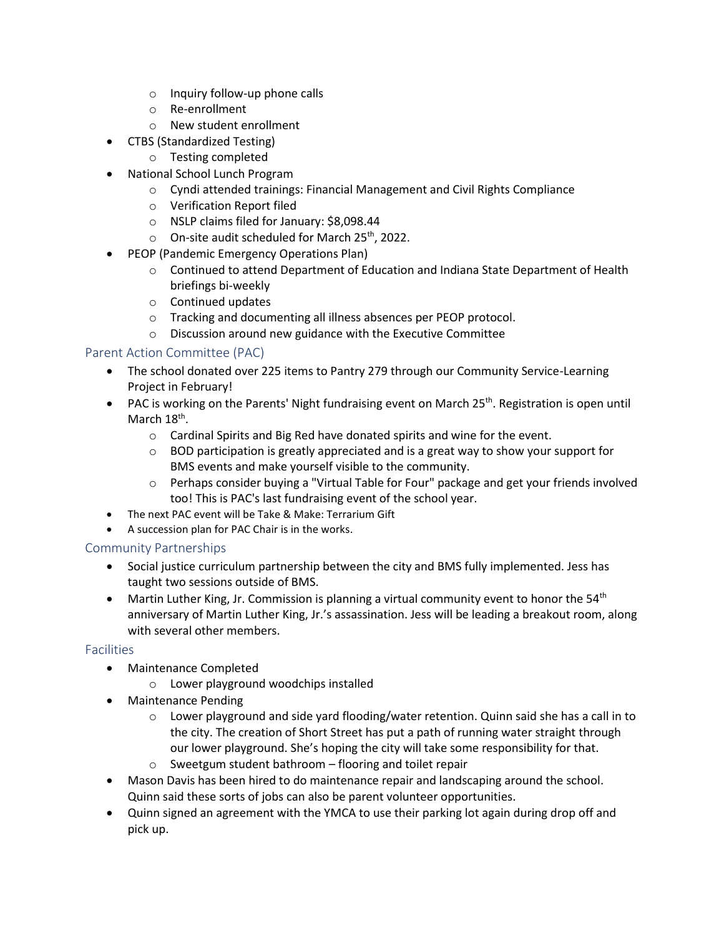- o Inquiry follow-up phone calls
- o Re-enrollment
- o New student enrollment
- CTBS (Standardized Testing)
	- o Testing completed
- National School Lunch Program
	- o Cyndi attended trainings: Financial Management and Civil Rights Compliance
	- o Verification Report filed
	- o NSLP claims filed for January: \$8,098.44
	- $\circ$  On-site audit scheduled for March 25<sup>th</sup>, 2022.
- PEOP (Pandemic Emergency Operations Plan)
	- o Continued to attend Department of Education and Indiana State Department of Health briefings bi-weekly
	- o Continued updates
	- o Tracking and documenting all illness absences per PEOP protocol.
	- o Discussion around new guidance with the Executive Committee

#### Parent Action Committee (PAC)

- The school donated over 225 items to Pantry 279 through our Community Service-Learning Project in February!
- PAC is working on the Parents' Night fundraising event on March 25<sup>th</sup>. Registration is open until March 18<sup>th</sup>.
	- o Cardinal Spirits and Big Red have donated spirits and wine for the event.
	- $\circ$  BOD participation is greatly appreciated and is a great way to show your support for BMS events and make yourself visible to the community.
	- o Perhaps consider buying a "Virtual Table for Four" package and get your friends involved too! This is PAC's last fundraising event of the school year.
- The next PAC event will be Take & Make: Terrarium Gift
- A succession plan for PAC Chair is in the works.

#### Community Partnerships

- Social justice curriculum partnership between the city and BMS fully implemented. Jess has taught two sessions outside of BMS.
- Martin Luther King, Jr. Commission is planning a virtual community event to honor the 54<sup>th</sup> anniversary of Martin Luther King, Jr.'s assassination. Jess will be leading a breakout room, along with several other members.

#### Facilities

- Maintenance Completed
	- o Lower playground woodchips installed
- Maintenance Pending
	- $\circ$  Lower playground and side yard flooding/water retention. Quinn said she has a call in to the city. The creation of Short Street has put a path of running water straight through our lower playground. She's hoping the city will take some responsibility for that.
	- o Sweetgum student bathroom flooring and toilet repair
- Mason Davis has been hired to do maintenance repair and landscaping around the school. Quinn said these sorts of jobs can also be parent volunteer opportunities.
- Quinn signed an agreement with the YMCA to use their parking lot again during drop off and pick up.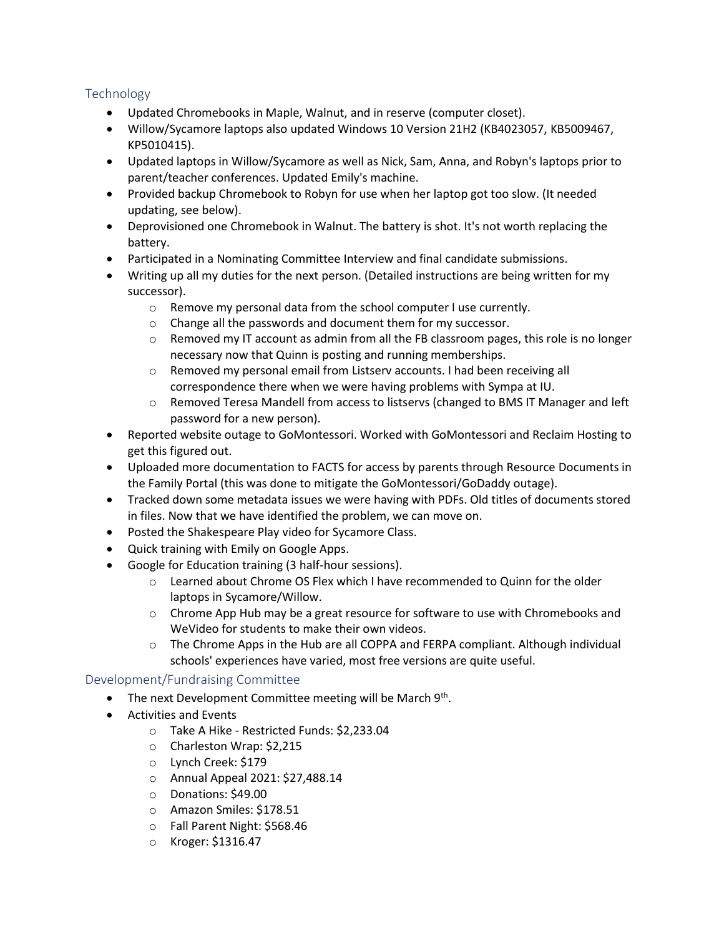# Technology

- Updated Chromebooks in Maple, Walnut, and in reserve (computer closet).
- Willow/Sycamore laptops also updated Windows 10 Version 21H2 (KB4023057, KB5009467, KP5010415).
- Updated laptops in Willow/Sycamore as well as Nick, Sam, Anna, and Robyn's laptops prior to parent/teacher conferences. Updated Emily's machine.
- Provided backup Chromebook to Robyn for use when her laptop got too slow. (It needed updating, see below).
- Deprovisioned one Chromebook in Walnut. The battery is shot. It's not worth replacing the battery.
- Participated in a Nominating Committee Interview and final candidate submissions.
- Writing up all my duties for the next person. (Detailed instructions are being written for my successor).
	- o Remove my personal data from the school computer I use currently.
	- o Change all the passwords and document them for my successor.
	- $\circ$  Removed my IT account as admin from all the FB classroom pages, this role is no longer necessary now that Quinn is posting and running memberships.
	- o Removed my personal email from Listserv accounts. I had been receiving all correspondence there when we were having problems with Sympa at IU.
	- o Removed Teresa Mandell from access to listservs (changed to BMS IT Manager and left password for a new person).
- Reported website outage to GoMontessori. Worked with GoMontessori and Reclaim Hosting to get this figured out.
- Uploaded more documentation to FACTS for access by parents through Resource Documents in the Family Portal (this was done to mitigate the GoMontessori/GoDaddy outage).
- Tracked down some metadata issues we were having with PDFs. Old titles of documents stored in files. Now that we have identified the problem, we can move on.
- Posted the Shakespeare Play video for Sycamore Class.
- Quick training with Emily on Google Apps.
- Google for Education training (3 half-hour sessions).
	- $\circ$  Learned about Chrome OS Flex which I have recommended to Quinn for the older laptops in Sycamore/Willow.
	- $\circ$  Chrome App Hub may be a great resource for software to use with Chromebooks and WeVideo for students to make their own videos.
	- $\circ$  The Chrome Apps in the Hub are all COPPA and FERPA compliant. Although individual schools' experiences have varied, most free versions are quite useful.

#### Development/Fundraising Committee

- The next Development Committee meeting will be March 9<sup>th</sup>.
- Activities and Events
	- o Take A Hike Restricted Funds: \$2,233.04
	- o Charleston Wrap: \$2,215
	- o Lynch Creek: \$179
	- o Annual Appeal 2021: \$27,488.14
	- o Donations: \$49.00
	- o Amazon Smiles: \$178.51
	- o Fall Parent Night: \$568.46
	- o Kroger: \$1316.47